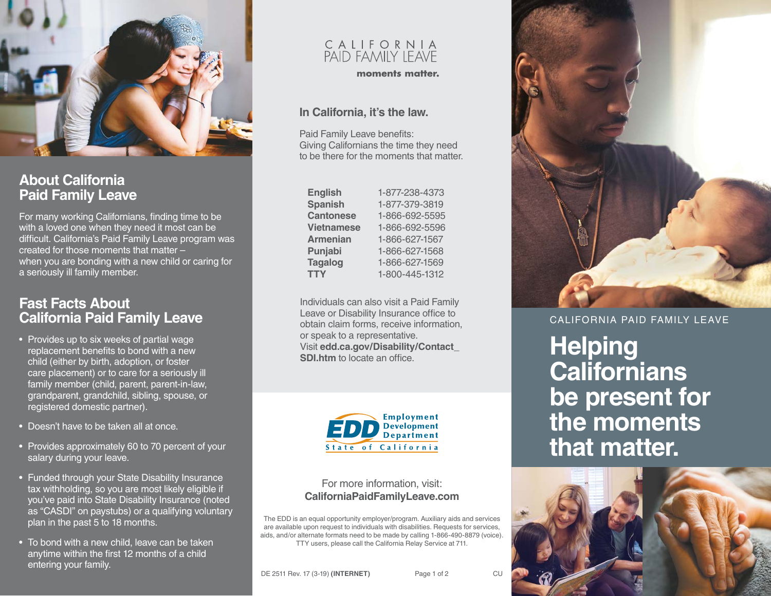

## **About California Paid Family Leave**

For many working Californians, finding time to be with a loved one when they need it most can be difficult. California's Paid Family Leave program was created for those moments that matter – when you are bonding with a new child or caring for a seriously ill family member.

## **Fast Facts About California Paid Family Leave**

- Provides up to six weeks of partial wage replacement benefits to bond with a new child (either by birth, adoption, or foster care placement) or to care for a seriously ill family member (child, parent, parent-in-law, grandparent, grandchild, sibling, spouse, or registered domestic partner).
- Doesn't have to be taken all at once.
- Provides approximately 60 to 70 percent of your salary during your leave.
- Funded through your State Disability Insurance tax withholding, so you are most likely eligible if you've paid into State Disability Insurance (noted as "CASDI" on paystubs) or a qualifying voluntary plan in the past 5 to 18 months.
- To bond with a new child, leave can be taken anytime within the first 12 months of a child entering your family.

# C A L I F O R N I A<br>PAID FAMILY LEAVE

moments matter.

#### **In California, it's the law.**

Paid Family Leave benefits: Giving Californians the time they need to be there for the moments that matter.

| <b>English</b>    |
|-------------------|
| <b>Spanish</b>    |
| <b>Cantonese</b>  |
| <b>Vietnamese</b> |
| <b>Armenian</b>   |
| Punjabi           |
| <b>Tagalog</b>    |
| <b>TTY</b>        |

**Spanish** 1-877-379-3819 **Cantonese** 1-866-692-5595 **Vietnamese** 1-866-692-5596 **Armenian** 1-866-627-1567 **Punjabi** 1-866-627-1568 **Tagalog** 1-866-627-1569 **TTY** 1-800-445-1312

**English** 1-877-238-4373

Individuals can also visit a Paid Family Leave or Disability Insurance office to obtain claim forms, receive information, or speak to a representative. Visit **[edd.ca.gov/Disability/Contact\\_](http://edd.ca.gov/Disability/Contact_SDI.htm) [SDI.htm](http://edd.ca.gov/Disability/Contact_SDI.htm)** to locate an office.



#### For more information, visit: **[CaliforniaPaidFamilyLeave.com](http://CaliforniaPaidFamilyLeave.com)**

The EDD is an equal opportunity employer/program. Auxiliary aids and services are available upon request to individuals with disabilities. Requests for services, aids, and/or alternate formats need to be made by calling 1-866-490-8879 (voice). TTY users, please call the California Relay Service at 711.



CALIFORNIA PAID FAMILY LEAVE

**Helping Californians be present for the moments that matter.**